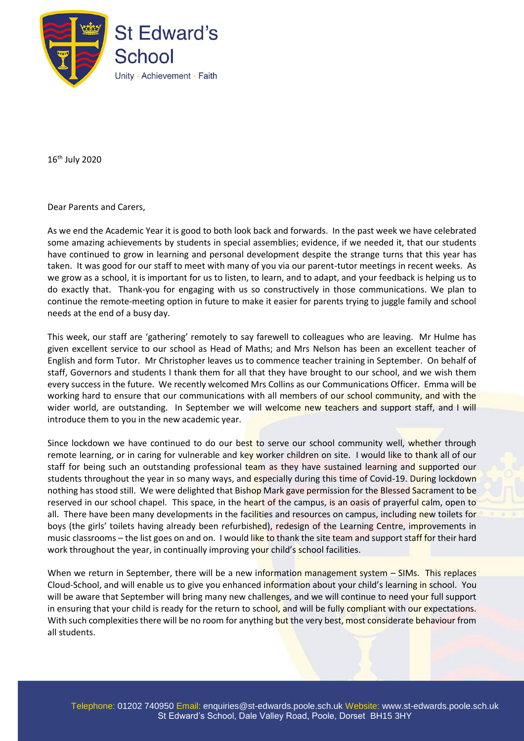

16th July 2020

Dear Parents and Carers,

As we end the Academic Year it is good to both look back and forwards. In the past week we have celebrated some amazing achievements by students in special assemblies; evidence, if we needed it, that our students have continued to grow in learning and personal development despite the strange turns that this year has taken. It was good for our staff to meet with many of you via our parent-tutor meetings in recent weeks. As we grow as a school, it is important for us to listen, to learn, and to adapt, and your feedback is helping us to do exactly that. Thank-you for engaging with us so constructively in those communications. We plan to continue the remote-meeting option in future to make it easier for parents trying to juggle family and school needs at the end of a busy day.

This week, our staff are 'gathering' remotely to say farewell to colleagues who are leaving. Mr Hulme has given excellent service to our school as Head of Maths; and Mrs Nelson has been an excellent teacher of English and form Tutor. Mr Christopher leaves us to commence teacher training in September. On behalf of staff, Governors and students I thank them for all that they have brought to our school, and we wish them every success in the future. We recently welcomed Mrs Collins as our Communications Officer. Emma will be working hard to ensure that our communications with all members of our school community, and with the wider world, are outstanding. In September we will welcome new teachers and support staff, and I will introduce them to you in the new academic year.

Since lockdown we have continued to do our best to serve our school community well, whether through remote learning, or in caring for vulnerable and key worker children on site. I would like to thank all of our staff for being such an outstanding professional team as they have sustained learning and supported our students throughout the year in so many ways, and especially during this time of Covid-19. During lockdown nothing has stood still. We were delighted that Bishop Mark gave permission for the Blessed Sacrament to be reserved in our school chapel. This space, in the heart of the campus, is an oasis of prayerful calm, open to all. There have been many developments in the facilities and resources on campus, including new toilets for boys (the girls' toilets having already been refurbished), redesign of the Learning Centre, improvements in music classrooms – the list goes on and on. I would like to thank the site team and support staff for their hard work throughout the year, in continually improving your child's school facilities.

When we return in September, there will be a new information management system - SIMs. This replaces Cloud-School, and will enable us to give you enhanced information about your child's learning in school. You will be aware that September will bring many new challenges, and we will continue to need your full support in ensuring that your child is ready for the return to school, and will be fully compliant with our expectations. With such complexities there will be no room for anything but the very best, most considerate behaviour from all students.